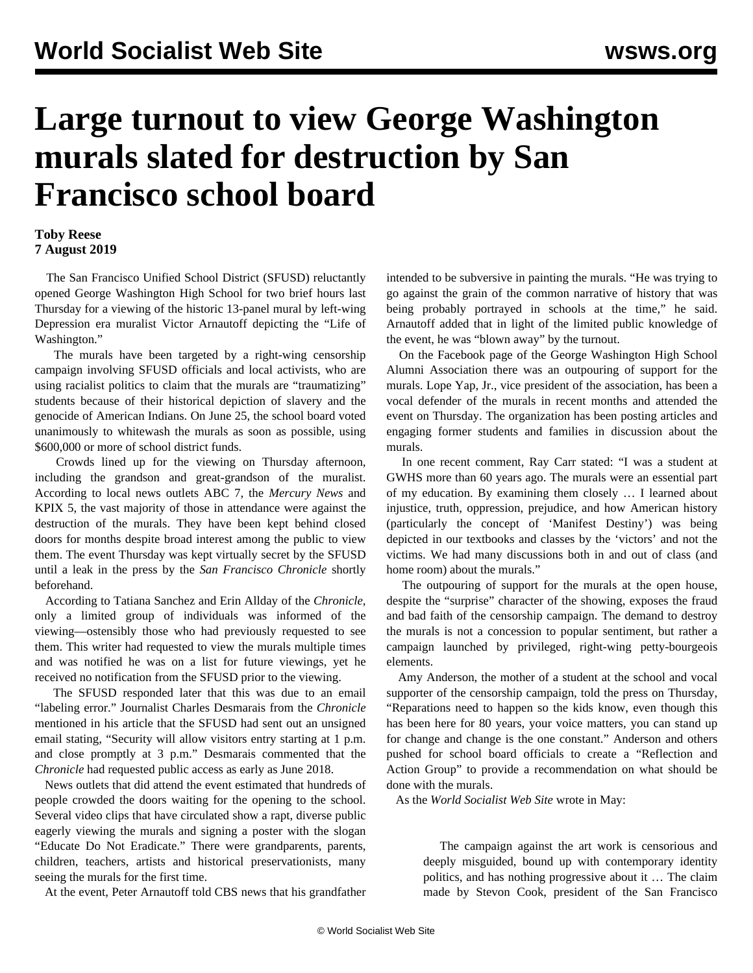## **Large turnout to view George Washington murals slated for destruction by San Francisco school board**

## **Toby Reese 7 August 2019**

 The San Francisco Unified School District (SFUSD) reluctantly opened George Washington High School for two brief hours last Thursday for a viewing of the historic 13-panel mural by left-wing Depression era muralist Victor Arnautoff depicting the "Life of Washington."

 The murals have been targeted by a right-wing censorship campaign involving SFUSD officials and local activists, who are using racialist politics to claim that the murals are "traumatizing" students because of their historical depiction of slavery and the genocide of American Indians. On June 25, the school board voted unanimously to whitewash the murals as soon as possible, using \$600,000 or more of school district funds.

 Crowds lined up for the viewing on Thursday afternoon, including the grandson and great-grandson of the muralist. According to local news outlets ABC 7, the *Mercury News* and KPIX 5, the vast majority of those in attendance were against the destruction of the murals. They have been kept behind closed doors for months despite broad interest among the public to view them. The event Thursday was kept virtually secret by the SFUSD until a leak in the press by the *San Francisco Chronicle* shortly beforehand.

 According to Tatiana Sanchez and Erin Allday of the *Chronicle*, only a limited group of individuals was informed of the viewing—ostensibly those who had previously requested to see them. This writer had requested to view the murals multiple times and was notified he was on a list for future viewings, yet he received no notification from the SFUSD prior to the viewing.

 The SFUSD responded later that this was due to an email "labeling error." Journalist Charles Desmarais from the *Chronicle* mentioned in his article that the SFUSD had sent out an unsigned email stating, "Security will allow visitors entry starting at 1 p.m. and close promptly at 3 p.m." Desmarais commented that the *Chronicle* had requested public access as early as June 2018.

 News outlets that did attend the event estimated that hundreds of people crowded the doors waiting for the opening to the school. Several video clips that have circulated show a rapt, diverse public eagerly viewing the murals and signing a poster with the slogan "Educate Do Not Eradicate." There were grandparents, parents, children, teachers, artists and historical preservationists, many seeing the murals for the first time.

At the event, Peter Arnautoff told CBS news that his grandfather

intended to be subversive in painting the murals. "He was trying to go against the grain of the common narrative of history that was being probably portrayed in schools at the time," he said. Arnautoff added that in light of the limited public knowledge of the event, he was "blown away" by the turnout.

 On the Facebook page of the George Washington High School Alumni Association there was an outpouring of support for the murals. Lope Yap, Jr., vice president of the association, has been a vocal defender of the murals in recent months and attended the event on Thursday. The organization has been posting articles and engaging former students and families in discussion about the murals.

 In one recent comment, Ray Carr stated: "I was a student at GWHS more than 60 years ago. The murals were an essential part of my education. By examining them closely … I learned about injustice, truth, oppression, prejudice, and how American history (particularly the concept of 'Manifest Destiny') was being depicted in our textbooks and classes by the 'victors' and not the victims. We had many discussions both in and out of class (and home room) about the murals."

 The outpouring of support for the murals at the open house, despite the "surprise" character of the showing, exposes the fraud and bad faith of the censorship campaign. The demand to destroy the murals is not a concession to popular sentiment, but rather a campaign launched by privileged, right-wing petty-bourgeois elements.

 Amy Anderson, the mother of a student at the school and vocal supporter of the censorship campaign, told the press on Thursday, "Reparations need to happen so the kids know, even though this has been here for 80 years, your voice matters, you can stand up for change and change is the one constant." Anderson and others pushed for school board officials to create a "Reflection and Action Group" to provide a recommendation on what should be done with the murals.

As the *World Socialist Web Site* wrote in May:

 The campaign against the art work is censorious and deeply misguided, bound up with contemporary identity politics, and has nothing progressive about it … The claim made by Stevon Cook, president of the San Francisco